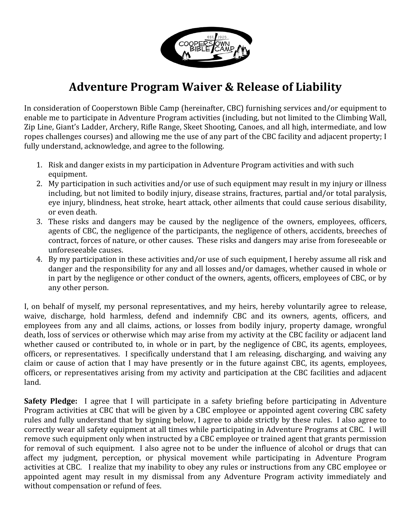

## **Adventure
Program
Waiver
&
Release
of
Liability**

In
consideration
of
Cooperstown
Bible
Camp
(hereinafter,
CBC)
furnishing
services
and/or
equipment
to enable me to participate in Adventure Program activities (including, but not limited to the Climbing Wall, Zip Line, Giant's Ladder, Archery, Rifle Range, Skeet Shooting, Canoes, and all high, intermediate, and low ropes challenges courses) and allowing me the use of any part of the CBC facility and adjacent property; I fully understand, acknowledge, and agree to the following.

- 1. Risk and danger exists in my participation in Adventure Program activities and with such equipment.
- 2. My participation in such activities and/or use of such equipment may result in my injury or illness including, but not limited to bodily injury, disease strains, fractures, partial and/or total paralysis, eye
injury,
blindness,
heat
stroke,
heart
attack,
other
ailments
that
could
cause
serious
disability, or
even
death.
- 3. These risks and dangers may be caused by the negligence of the owners, employees, officers, agents of CBC, the negligence of the participants, the negligence of others, accidents, breeches of contract, forces of nature, or other causes. These risks and dangers may arise from foreseeable or unforeseeable
causes.
- 4. By my participation in these activities and/or use of such equipment, I hereby assume all risk and danger and the responsibility for any and all losses and/or damages, whether caused in whole or in part by the negligence or other conduct of the owners, agents, officers, employees of CBC, or by any
other
person.

I, on behalf of myself, my personal representatives, and my heirs, hereby voluntarily agree to release, waive, discharge, hold harmless, defend and indemnify CBC and its owners, agents, officers, and employees from any and all claims, actions, or losses from bodily injury, property damage, wrongful death, loss of services or otherwise which may arise from my activity at the CBC facility or adjacent land whether caused or contributed to, in whole or in part, by the negligence of CBC, its agents, employees, officers, or representatives. I specifically understand that I am releasing, discharging, and waiving any claim or cause of action that I may have presently or in the future against CBC, its agents, employees, officers, or representatives arising from my activity and participation at the CBC facilities and adjacent land.

**Safety Pledge:** I agree that I will participate in a safety briefing before participating in Adventure Program activities at CBC that will be given by a CBC employee or appointed agent covering CBC safety rules and fully understand that by signing below, I agree to abide strictly by these rules. I also agree to correctly
wear
all
safety
equipment
at
all
times
while
participating
in
Adventure
Programs
at
CBC.

I
will remove such equipment only when instructed by a CBC employee or trained agent that grants permission for removal of such equipment. I also agree not to be under the influence of alcohol or drugs that can affect
 my
 judgment,
 perception,
 or
 physical
 movement
 while
 participating
 in
 Adventure
 Program activities at CBC. I realize that my inability to obey any rules or instructions from any CBC employee or appointed agent may result in my dismissal from any Adventure Program activity immediately and without
compensation
or
refund
of
fees.